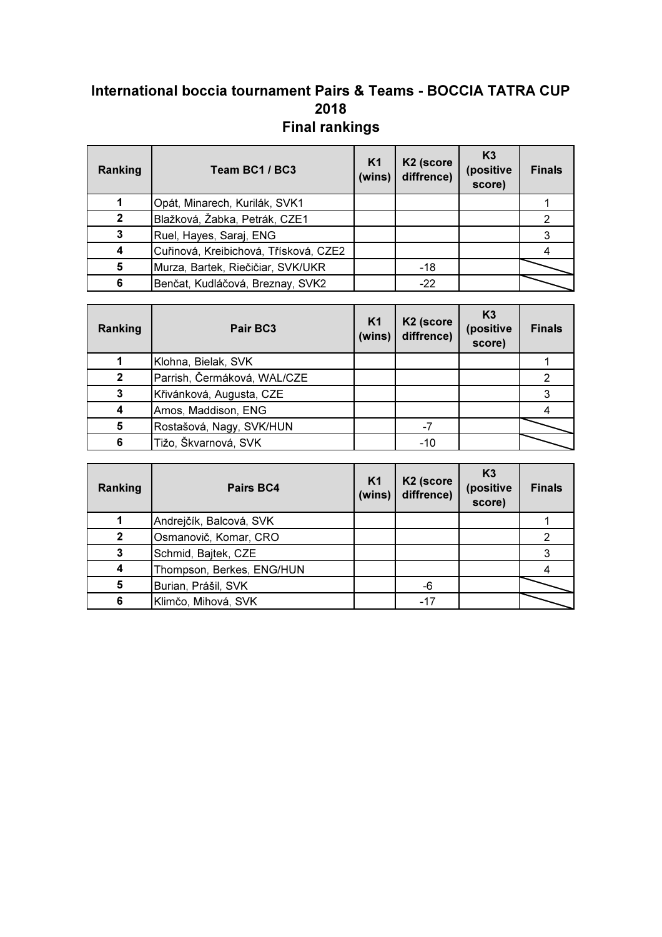## International boccia tournament Pairs & Teams - BOCCIA TATRA CUP 2018 Final rankings

| Ranking          | Team BC1 / BC3                        | K <sub>1</sub><br>(wins) | K <sub>2</sub> (score<br>diffrence) | K <sub>3</sub><br>(positive<br>score) | <b>Finals</b> |
|------------------|---------------------------------------|--------------------------|-------------------------------------|---------------------------------------|---------------|
|                  | Opát, Minarech, Kurilák, SVK1         |                          |                                     |                                       |               |
| $\mathbf 2$      | Blažková, Žabka, Petrák, CZE1         |                          |                                     |                                       |               |
| 3                | Ruel, Hayes, Saraj, ENG               |                          |                                     |                                       |               |
| $\boldsymbol{4}$ | Cuřinová, Kreibichová, Třísková, CZE2 |                          |                                     |                                       |               |
| 5                | Murza, Bartek, Riečičiar, SVK/UKR     |                          | $-18$                               |                                       |               |
| 6                | Benčat, Kudláčová, Breznay, SVK2      |                          | $-22$                               |                                       |               |

| Ranking      | Pair BC3                    | K <sub>1</sub><br>(wins) | K <sub>2</sub> (score<br>diffrence) | K <sub>3</sub><br>(positive<br>score) | <b>Finals</b> |
|--------------|-----------------------------|--------------------------|-------------------------------------|---------------------------------------|---------------|
|              | Klohna, Bielak, SVK         |                          |                                     |                                       |               |
| $\mathbf{2}$ | Parrish, Čermáková, WAL/CZE |                          |                                     |                                       |               |
| 3            | Křivánková, Augusta, CZE    |                          |                                     |                                       |               |
| 4            | Amos, Maddison, ENG         |                          |                                     |                                       |               |
| 5            | Rostašová, Nagy, SVK/HUN    |                          | $-7$                                |                                       |               |
| 6            | Tižo, Škvarnová, SVK        |                          | $-10$                               |                                       |               |

| Ranking      | Pairs BC4                 | K <sub>1</sub><br>(wins) | K <sub>2</sub> (score<br>diffrence) | K <sub>3</sub><br>(positive<br>score) | <b>Finals</b> |
|--------------|---------------------------|--------------------------|-------------------------------------|---------------------------------------|---------------|
|              | Andrejčík, Balcová, SVK   |                          |                                     |                                       |               |
| $\mathbf{2}$ | Osmanovič, Komar, CRO     |                          |                                     |                                       |               |
|              | Schmid, Bajtek, CZE       |                          |                                     |                                       |               |
| 4            | Thompson, Berkes, ENG/HUN |                          |                                     |                                       |               |
| 5            | Burian, Prášil, SVK       |                          | -6                                  |                                       |               |
| 6            | Klimčo, Mihová, SVK       |                          | $-17$                               |                                       |               |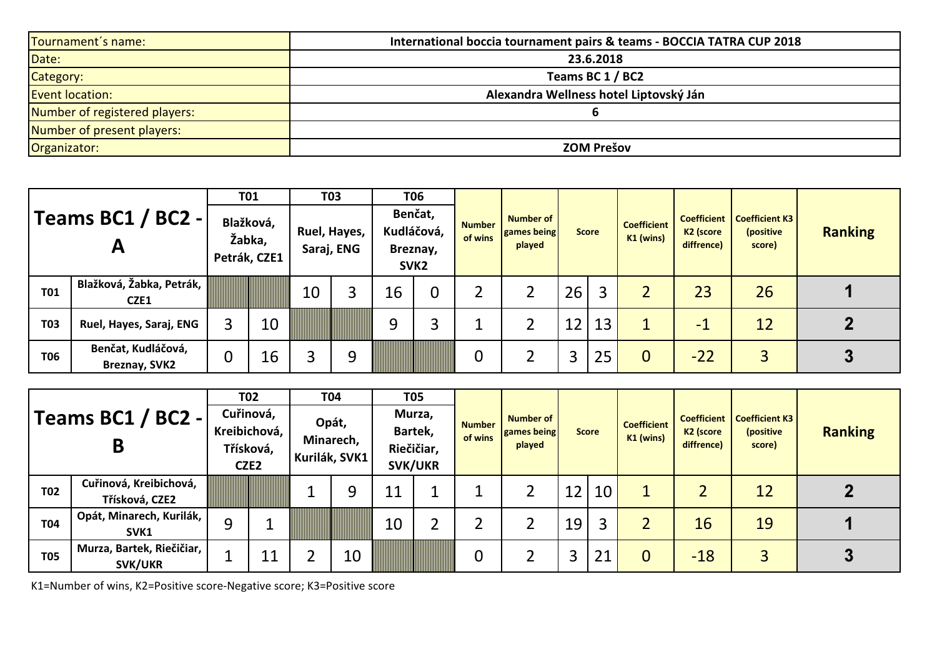| Tournament's name:            | International boccia tournament pairs & teams - BOCCIA TATRA CUP 2018 |
|-------------------------------|-----------------------------------------------------------------------|
| Date:                         | 23.6.2018                                                             |
| Category:                     | Teams BC 1 / BC2                                                      |
| <b>Event location:</b>        | Alexandra Wellness hotel Liptovský Ján                                |
| Number of registered players: |                                                                       |
| Number of present players:    |                                                                       |
| Organizator:                  | <b>ZOM Prešov</b>                                                     |

|                                   |                                     | <b>T01</b>                          |    | <b>T03</b>                 |   | <b>T06</b>                                            |                |                          |                                                  |                 |    |                                   |                                                           |                                              |                |
|-----------------------------------|-------------------------------------|-------------------------------------|----|----------------------------|---|-------------------------------------------------------|----------------|--------------------------|--------------------------------------------------|-----------------|----|-----------------------------------|-----------------------------------------------------------|----------------------------------------------|----------------|
| Teams BC1 / BC2 -<br>$\mathbf{A}$ |                                     | Blažková,<br>Žabka,<br>Petrák, CZE1 |    | Ruel, Hayes,<br>Saraj, ENG |   | Benčat,<br>Kudláčová,<br>Breznay,<br>SVK <sub>2</sub> |                | <b>Number</b><br>of wins | <b>Number of</b><br><b>games being</b><br>played | <b>Score</b>    |    | <b>Coefficient</b><br>$K1$ (wins) | <b>Coefficient</b><br>K <sub>2</sub> (score<br>diffrence) | <b>Coefficient K3</b><br>(positive<br>score) | <b>Ranking</b> |
| <b>T01</b>                        | Blažková, Žabka, Petrák,<br>CZE1    |                                     |    | 10                         |   | 16                                                    | $\overline{0}$ | 2                        |                                                  | 26              | 2  |                                   | 23                                                        | 26                                           |                |
| <b>T03</b>                        | Ruel, Hayes, Saraj, ENG             |                                     | 10 |                            |   | 9                                                     | 3              |                          |                                                  | 12 <sub>1</sub> | 13 |                                   | - 1                                                       | 12                                           |                |
| <b>T06</b>                        | Benčat, Kudláčová,<br>Breznay, SVK2 | 0                                   | 16 | 3                          | 9 |                                                       |                | $\overline{0}$           |                                                  | 3               | 25 | $\Omega$                          | $-22$                                                     | $\overline{3}$                               | J              |

|                        |                                             | <b>T02</b>       |                                        |                                     | <b>T04</b> | <b>T05</b>                                        |  |                          |                                    |              |            |                                   |                                     |                                                            |                |
|------------------------|---------------------------------------------|------------------|----------------------------------------|-------------------------------------|------------|---------------------------------------------------|--|--------------------------|------------------------------------|--------------|------------|-----------------------------------|-------------------------------------|------------------------------------------------------------|----------------|
| Teams BC1 / BC2 -<br>B |                                             | CZE <sub>2</sub> | Cuřinová,<br>Kreibichová,<br>Třísková, | Opát,<br>Minarech,<br>Kurilák, SVK1 |            | Murza,<br>Bartek,<br>Riečičiar,<br><b>SVK/UKR</b> |  | <b>Number</b><br>of wins | Number of<br>games being<br>played | <b>Score</b> |            | <b>Coefficient</b><br>$K1$ (wins) | K <sub>2</sub> (score<br>diffrence) | <b>Coefficient   Coefficient K3</b><br>(positive<br>score) | <b>Ranking</b> |
| T02                    | Cuřinová, Kreibichová,<br>Třísková, CZE2    |                  |                                        |                                     | 9          |                                                   |  |                          |                                    | 12           | 10         |                                   |                                     | 12                                                         |                |
| <b>T04</b>             | Opát, Minarech, Kurilák,<br>SVK1            | 9                |                                        |                                     |            | 10                                                |  |                          |                                    | 19           |            |                                   | 16                                  | 19                                                         |                |
| <b>T05</b>             | Murza, Bartek, Riečičiar,<br><b>SVK/UKR</b> |                  | 11                                     |                                     | 10         |                                                   |  |                          |                                    | 3            | ົາ 1<br>∠⊥ | $\overline{0}$                    | $-18$                               | 3                                                          |                |

K1=Number of wins, K2=Positive score-Negative score; K3=Positive score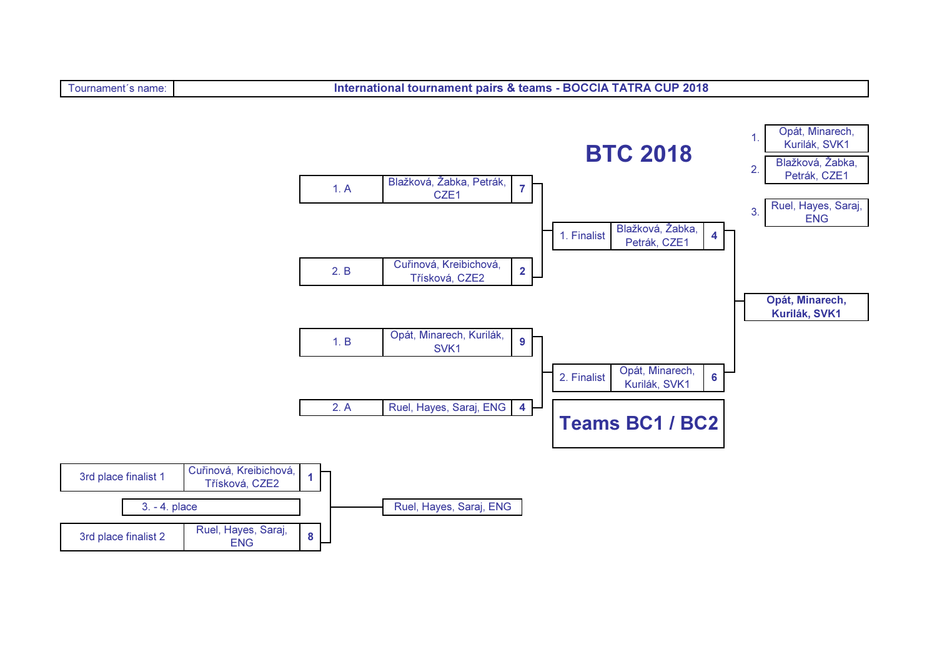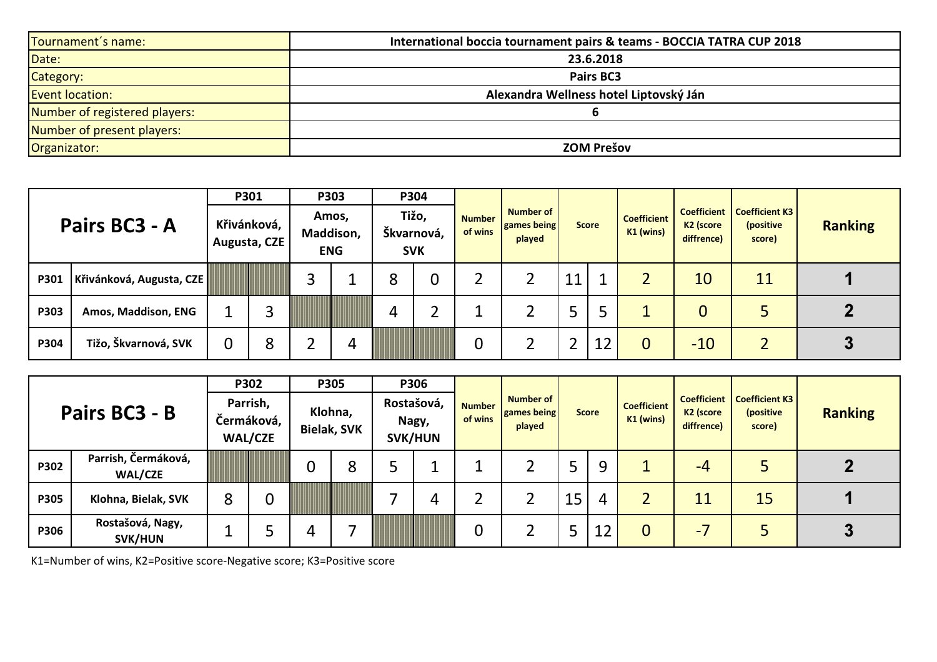| Tournament's name:            | International boccia tournament pairs & teams - BOCCIA TATRA CUP 2018 |
|-------------------------------|-----------------------------------------------------------------------|
| Date:                         | 23.6.2018                                                             |
| Category:                     | Pairs BC3                                                             |
| <b>Event location:</b>        | Alexandra Wellness hotel Liptovský Ján                                |
| Number of registered players: |                                                                       |
| Number of present players:    |                                                                       |
| Organizator:                  | <b>ZOM Prešov</b>                                                     |

|               |                          |                             | P301 |                                  | P303 | P304                              |  |                          |                                           |              |    |                                   |                                                           |                                              |                |
|---------------|--------------------------|-----------------------------|------|----------------------------------|------|-----------------------------------|--|--------------------------|-------------------------------------------|--------------|----|-----------------------------------|-----------------------------------------------------------|----------------------------------------------|----------------|
| Pairs BC3 - A |                          | Křivánková,<br>Augusta, CZE |      | Amos,<br>Maddison,<br><b>ENG</b> |      | Tižo,<br>Škvarnová,<br><b>SVK</b> |  | <b>Number</b><br>of wins | <b>Number of</b><br>games being<br>played | <b>Score</b> |    | <b>Coefficient</b><br>$K1$ (wins) | <b>Coefficient</b><br>K <sub>2</sub> (score<br>diffrence) | <b>Coefficient K3</b><br>(positive<br>score) | <b>Ranking</b> |
| P301          | Křivánková, Augusta, CZE |                             |      | っ                                |      | 8                                 |  |                          |                                           | 11           |    |                                   | 10                                                        | 11                                           |                |
| P303          | Amos, Maddison, ENG      |                             | 3    |                                  |      | 4                                 |  |                          |                                           |              |    |                                   | $\overline{0}$                                            |                                              |                |
| P304          | Tižo, Škvarnová, SVK     | 0                           | 8    |                                  | 4    |                                   |  | $\boldsymbol{0}$         |                                           |              | 12 | $\Omega$                          | $-10$                                                     |                                              |                |

|               |                                       | P302                                     |   | <b>P305</b>                   |   | P306                                  |   |                          |                                           |              |    |                                 |                                     |                                                       |                |
|---------------|---------------------------------------|------------------------------------------|---|-------------------------------|---|---------------------------------------|---|--------------------------|-------------------------------------------|--------------|----|---------------------------------|-------------------------------------|-------------------------------------------------------|----------------|
| Pairs BC3 - B |                                       | Parrish,<br>Čermáková,<br><b>WAL/CZE</b> |   | Klohna,<br><b>Bielak, SVK</b> |   | Rostašová,<br>Nagy,<br><b>SVK/HUN</b> |   | <b>Number</b><br>of wins | <b>Number of</b><br>games being<br>played | <b>Score</b> |    | <b>Coefficient</b><br>K1 (wins) | K <sub>2</sub> (score<br>diffrence) | Coefficient   Coefficient K3  <br>(positive<br>score) | <b>Ranking</b> |
| <b>P302</b>   | Parrish, Čermáková,<br><b>WAL/CZE</b> |                                          |   | 0                             | 8 |                                       |   |                          |                                           |              | 9  |                                 | $-4$                                |                                                       |                |
| <b>P305</b>   | Klohna, Bielak, SVK                   | 8                                        | 0 |                               |   |                                       | 4 | า<br>∠                   |                                           | 15           | 4  |                                 | 11                                  | 15                                                    |                |
| <b>P306</b>   | Rostašová, Nagy,<br><b>SVK/HUN</b>    |                                          |   |                               |   |                                       |   | 0                        |                                           |              | 12 | $\overline{0}$                  | $-7$                                |                                                       | 3              |

K1=Number of wins, K2=Positive score-Negative score; K3=Positive score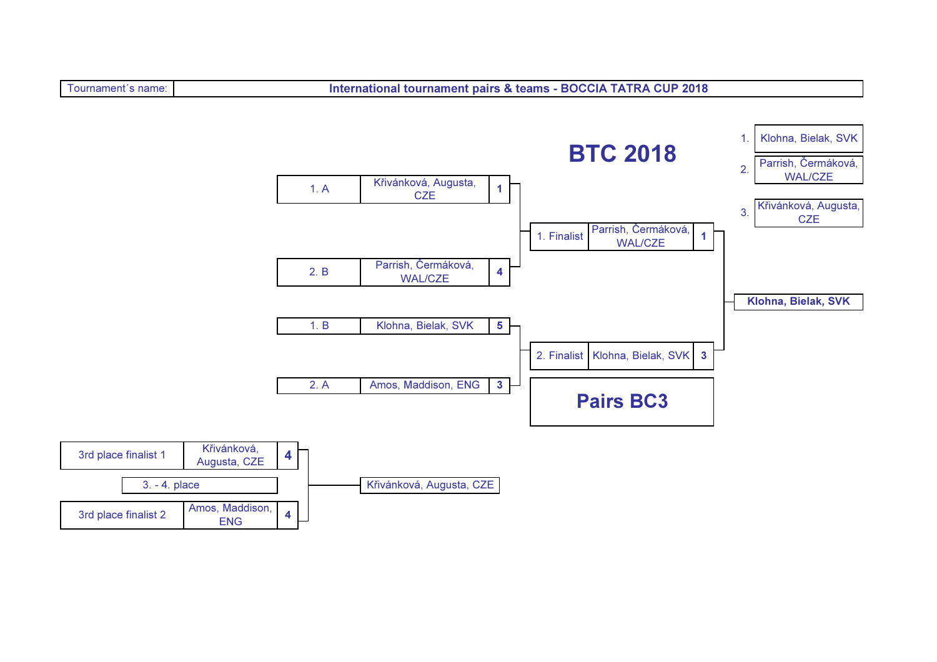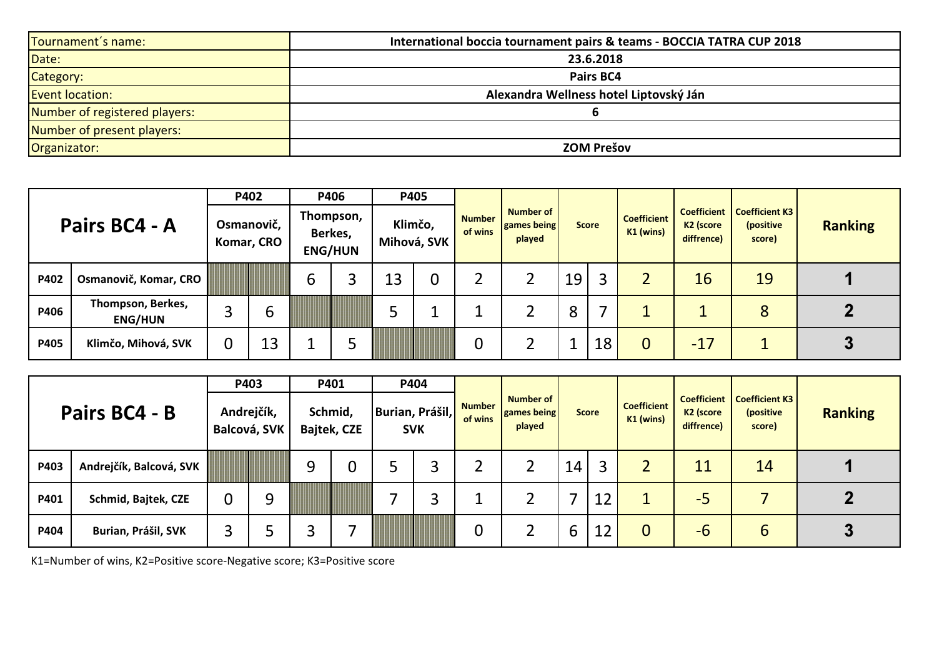| Tournament's name:            | International boccia tournament pairs & teams - BOCCIA TATRA CUP 2018 |
|-------------------------------|-----------------------------------------------------------------------|
| Date:                         | 23.6.2018                                                             |
| Category:                     | Pairs BC4                                                             |
| <b>Event location:</b>        | Alexandra Wellness hotel Liptovský Ján                                |
| Number of registered players: |                                                                       |
| Number of present players:    |                                                                       |
| Organizator:                  | <b>ZOM Prešov</b>                                                     |

|               |                                     |                          | P402 | P406                                   |  | P405                   |  |                          |                                           |              |    |                                   |                                                           |                                              |                |
|---------------|-------------------------------------|--------------------------|------|----------------------------------------|--|------------------------|--|--------------------------|-------------------------------------------|--------------|----|-----------------------------------|-----------------------------------------------------------|----------------------------------------------|----------------|
| Pairs BC4 - A |                                     | Osmanovič,<br>Komar, CRO |      | Thompson,<br>Berkes,<br><b>ENG/HUN</b> |  | Klimčo,<br>Mihová, SVK |  | <b>Number</b><br>of wins | <b>Number of</b><br>games being<br>played | <b>Score</b> |    | <b>Coefficient</b><br>$K1$ (wins) | <b>Coefficient</b><br>K <sub>2</sub> (score<br>diffrence) | <b>Coefficient K3</b><br>(positive<br>score) | <b>Ranking</b> |
| P402          | Osmanovič, Komar, CRO               |                          |      | 6                                      |  | 13                     |  |                          |                                           | 19           | 3  |                                   | 16                                                        | 19                                           |                |
| P406          | Thompson, Berkes,<br><b>ENG/HUN</b> | っ                        | b    |                                        |  |                        |  |                          |                                           | 8            |    |                                   |                                                           | 8                                            |                |
| P405          | Klimčo, Mihová, SVK                 | 0                        | 13   |                                        |  |                        |  | $\boldsymbol{0}$         |                                           |              | 18 | 0                                 | $-17$                                                     |                                              |                |

|               |                         | P403                       |   | P401                          |   | P404                          |   |                          |                                           |              |    |                                   |                                     |                                                            |                |  |
|---------------|-------------------------|----------------------------|---|-------------------------------|---|-------------------------------|---|--------------------------|-------------------------------------------|--------------|----|-----------------------------------|-------------------------------------|------------------------------------------------------------|----------------|--|
| Pairs BC4 - B |                         | Andrejčík,<br>Balcová, SVK |   | Schmid,<br><b>Bajtek, CZE</b> |   | Burian, Prášil,<br><b>SVK</b> |   | <b>Number</b><br>of wins | Number of<br><b>games being</b><br>played | <b>Score</b> |    | <b>Coefficient</b><br>$K1$ (wins) | K <sub>2</sub> (score<br>diffrence) | <b>Coefficient   Coefficient K3</b><br>(positive<br>score) | <b>Ranking</b> |  |
| P403          | Andrejčík, Balcová, SVK |                            |   | 9                             | 0 |                               | 3 |                          |                                           | 14           | 3  |                                   | 11                                  | 14                                                         |                |  |
| P401          | Schmid, Bajtek, CZE     | 0                          | 9 |                               |   |                               | 3 |                          |                                           |              | 12 |                                   | $-5$                                |                                                            |                |  |
| P404          | Burian, Prášil, SVK     |                            | ت |                               |   |                               |   | 0                        |                                           | 6            | 12 | $\overline{0}$                    | $-6$                                | b                                                          | υ              |  |

K1=Number of wins, K2=Positive score-Negative score; K3=Positive score